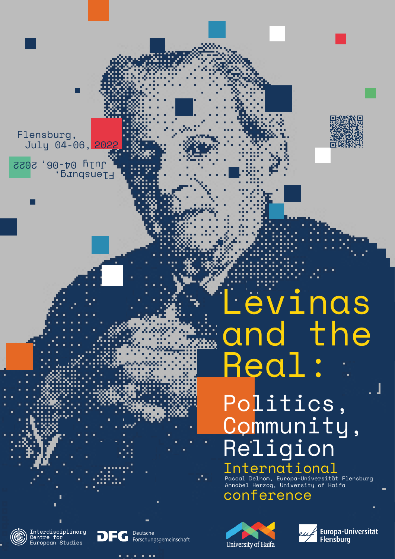Pascal Delhom, Europa-Universität Flensburg Г. Annabel Herzog, University of Haifa conference





Г

 $\blacksquare$ 

Г



 $\blacksquare$ 

 $\blacksquare$ 





 $\blacksquare$ 

. . . . . .

July 04-06, 2022 July 04-06, 2022 Flensburg, Flensburg,

> Levinas and the Real: Politics,

# , Community, Religion International п.